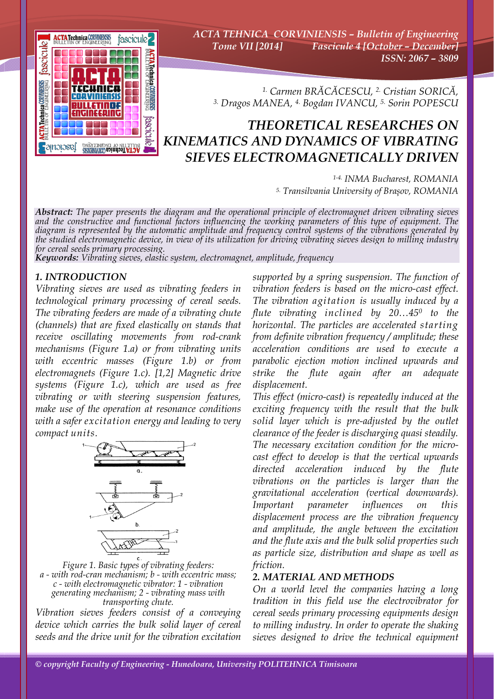

*ACTA TEHNICA CORVINIENSIS – Bulletin of Engineering Tome VII [2014] Fascicule 4 [October – December] ISSN: 2067 – 3809* 

*1. Carmen BRĂCĂCESCU, 2. Cristian SORICĂ, 3. Dragos MANEA, 4. Bogdan IVANCU, 5. Sorin POPESCU*

## *THEORETICAL RESEARCHES ON KINEMATICS AND DYNAMICS OF VIBRATING SIEVES ELECTROMAGNETICALLY DRIVEN*

*1-4. INMA Bucharest, ROMANIA 5. Transilvania University of Brașov, ROMANIA*

*Abstract: The paper presents the diagram and the operational principle of electromagnet driven vibrating sieves and the constructive and functional factors influencing the working parameters of this type of equipment. The*  diagram is represented by the automatic amplitude and frequency control systems of the vibrations generated by<br>the studied electromagnetic device, in view of its utilization for driving vibrating sieves design to milling i *for cereal seeds primary processing.* 

*Keywords: Vibrating sieves, elastic system, electromagnet, amplitude, frequency*

## *1. INTRODUCTION*

*Vibrating sieves are used as vibrating feeders in technological primary processing of cereal seeds. The vibrating feeders are made of a vibrating chute (channels) that are fixed elastically on stands that receive oscillating movements from rod-crank mechanisms (Figure 1.a) or from vibrating units with eccentric masses (Figure 1.b) or from electromagnets (Figure 1.c). [1,2] Magnetic drive systems (Figure 1.c), which are used as free vibrating or with steering suspension features, make use of the operation at resonance conditions with a safer excitation energy and leading to very compact units.* 



*Figure 1. Basic types of vibrating feeders: a - with rod-cran mechanism; b - with eccentric mass; c - with electromagnetic vibrator: 1 - vibration generating mechanism; 2 - vibrating mass with transporting chute.* 

*Vibration sieves feeders consist of a conveying device which carries the bulk solid layer of cereal seeds and the drive unit for the vibration excitation* 

*supported by a spring suspension. The function of vibration feeders is based on the micro-cast effect. The vibration agitation is usually induced by a flute vibrating inclined by 20…450 to the horizontal. The particles are accelerated starting from definite vibration frequency / amplitude; these acceleration conditions are used to execute a parabolic ejection motion inclined upwards and strike the flute again after an adequate displacement.* 

*This effect (micro-cast) is repeatedly induced at the exciting frequency with the result that the bulk solid layer which is pre-adjusted by the outlet clearance of the feeder is discharging quasi steadily. The necessary excitation condition for the microcast effect to develop is that the vertical upwards directed acceleration induced by the flute vibrations on the particles is larger than the gravitational acceleration (vertical downwards). Important parameter influences on this displacement process are the vibration frequency and amplitude, the angle between the excitation and the flute axis and the bulk solid properties such as particle size, distribution and shape as well as friction.* 

## *2. MATERIAL AND METHODS*

*On a world level the companies having a long tradition in this field use the electrovibrator for cereal seeds primary processing equipments design to milling industry. In order to operate the shaking sieves designed to drive the technical equipment*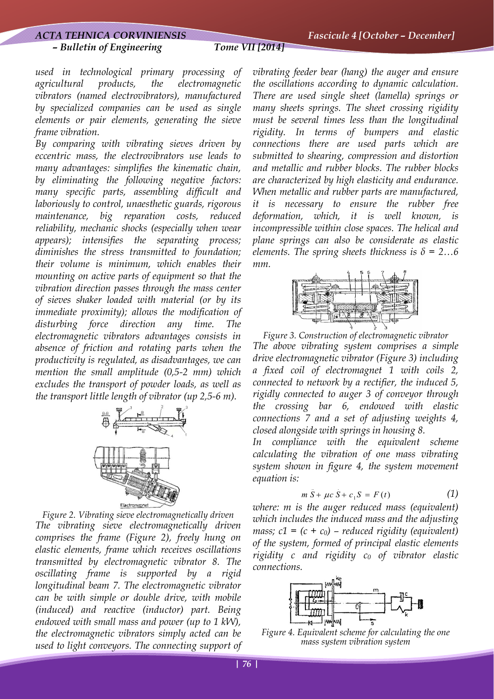### *ACTA TEHNICA CORVINIENSIS Fascicule 4 [October – December]*

## *– Bulletin of Engineering Tome VII [2014]*

*used in technological primary processing of agricultural products, the electromagnetic vibrators (named electrovibrators), manufactured by specialized companies can be used as single elements or pair elements, generating the sieve frame vibration.* 

*By comparing with vibrating sieves driven by eccentric mass, the electrovibrators use leads to many advantages: simplifies the kinematic chain, by eliminating the following negative factors: many specific parts, assembling difficult and laboriously to control, unaesthetic guards, rigorous maintenance, big reparation costs, reduced reliability, mechanic shocks (especially when wear appears); intensifies the separating process; diminishes the stress transmitted to foundation; their volume is minimum, which enables their mounting on active parts of equipment so that the vibration direction passes through the mass center of sieves shaker loaded with material (or by its immediate proximity); allows the modification of disturbing force direction any time. The electromagnetic vibrators advantages consists in absence of friction and rotating parts when the productivity is regulated, as disadvantages, we can mention the small amplitude (0,5-2 mm) which excludes the transport of powder loads, as well as the transport little length of vibrator (up 2,5-6 m).* 



*Figure 2. Vibrating sieve electromagnetically driven The vibrating sieve electromagnetically driven comprises the frame (Figure 2), freely hung on elastic elements, frame which receives oscillations transmitted by electromagnetic vibrator 8. The oscillating frame is supported by a rigid longitudinal beam 7. The electromagnetic vibrator can be with simple or double drive, with mobile (induced) and reactive (inductor) part. Being endowed with small mass and power (up to 1 kW), the electromagnetic vibrators simply acted can be used to light conveyors. The connecting support of*  *vibrating feeder bear (hang) the auger and ensure the oscillations according to dynamic calculation. There are used single sheet (lamella) springs or many sheets springs. The sheet crossing rigidity must be several times less than the longitudinal rigidity. In terms of bumpers and elastic connections there are used parts which are submitted to shearing, compression and distortion and metallic and rubber blocks. The rubber blocks are characterized by high elasticity and endurance. When metallic and rubber parts are manufactured, it is necessary to ensure the rubber free deformation, which, it is well known, is incompressible within close spaces. The helical and plane springs can also be considerate as elastic elements. The spring sheets thickness is*  $\delta$  = 2...6 *mm.* 



*Figure 3. Construction of electromagnetic vibrator The above vibrating system comprises a simple drive electromagnetic vibrator (Figure 3) including a fixed coil of electromagnet 1 with coils 2, connected to network by a rectifier, the induced 5, rigidly connected to auger 3 of conveyor through the crossing bar 6, endowed with elastic connections 7 and a set of adjusting weights 4, closed alongside with springs in housing 8.* 

*In compliance with the equivalent scheme calculating the vibration of one mass vibrating system shown in figure 4, the system movement equation is:* 

$$
m\ddot{S} + \mu c\dot{S} + c_1 S = F(t) \tag{1}
$$

*where: m is the auger reduced mass (equivalent) which includes the induced mass and the adjusting mass; c1* =  $(c + c_0)$  – *reduced rigidity (equivalent) of the system, formed of principal elastic elements rigidity c and rigidity c0 of vibrator elastic connections.* 



*Figure 4. Equivalent scheme for calculating the one mass system vibration system*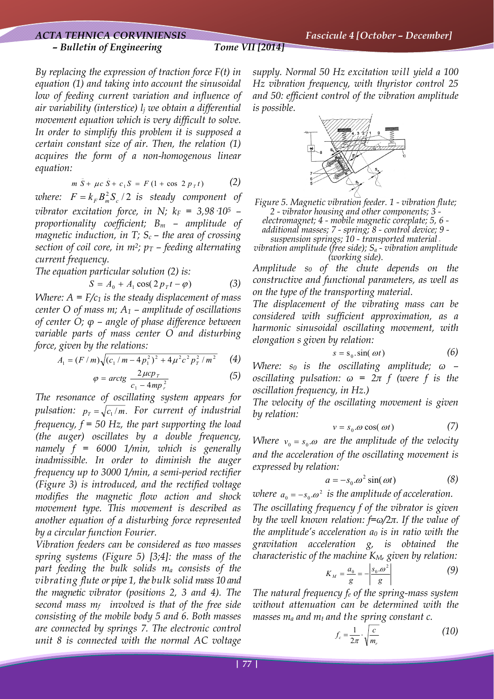# *– Bulletin of Engineering Tome VII [2014]*

*By replacing the expression of traction force F(t) in equation (1) and taking into account the sinusoidal low of feeding current variation and influence of air variability (interstice) lj we obtain a differential movement equation which is very difficult to solve. In order to simplify this problem it is supposed a certain constant size of air. Then, the relation (1) acquires the form of a non-homogenous linear equation:* 

$$
m\,\tilde{S} + \mu c\,\tilde{S} + c_1 S = F\,(1 + \cos\,2\,p_{\,T}t) \tag{2}
$$

*where:*  $F = k_F B_m^2 S_c / 2$  *is steady component of vibrator excitation force, in N;*  $k_F = 3.98 \cdot 10^5$  – *proportionality coefficient; Bm – amplitude of magnetic induction, in T; Sc – the area of crossing section of coil core, in m<sup>2</sup>;*  $p_T$  *– feeding alternating current frequency.* 

*The equation particular solution (2) is:* 

$$
S = A_0 + A_1 \cos(2p_T t - \varphi) \tag{3}
$$

*Where:*  $A = F/c_1$  *is the steady displacement of mass center O of mass m; A1 – amplitude of oscillations of center O; φ – angle of phase difference between variable parts of mass center O and disturbing force, given by the relations:* 

$$
A_1 = (F/m)\sqrt{(c_1/m - 4p_1^2)^2 + 4\mu^2c^2p_T^2/m^2}
$$
 (4)

$$
\varphi = \arctg \frac{2\mu cp_{\tau}}{c_1 - 4mp_{\tau}^2} \tag{5}
$$

*The resonance of oscillating system appears for pulsation:*  $p_T = \sqrt{c_1/m}$ . For current of industrial *frequency, f = 50 Hz, the part supporting the load (the auger) oscillates by a double frequency, namely f = 6000 1/min, which is generally inadmissible. In order to diminish the auger frequency up to 3000 1/min, a semi-period rectifier (Figure 3) is introduced, and the rectified voltage modifies the magnetic flow action and shock movement type. This movement is described as another equation of a disturbing force represented by a circular function Fourier.* 

*Vibration feeders can be considered as two masses spring systems (Figure 5) [3;4]: the mass of the part feeding the bulk solids ma consists of the vibrating flute or pipe 1, the bulk solid mass 10 and the magnetic vibrator (positions 2, 3 and 4). The second mass mf involved is that of the free side consisting of the mobile body 5 and 6. Both masses are connected by springs 7. The electronic control unit 8 is connected with the normal AC voltage* 

*supply. Normal 50 Hz excitation will yield a 100 Hz vibration frequency, with thyristor control 25 and 50: efficient control of the vibration amplitude is possible.* 



*Figure 5. Magnetic vibration feeder. 1 - vibration flute; 2 - vibrator housing and other components; 3 electromagnet; 4 - mobile magnetic coreplate; 5, 6 -* 

*additional masses; 7 - spring; 8 - control device; 9 suspension springs; 10 - transported material -*

*vibration amplitude (free side); Sa - vibration amplitude (working side).* 

*Amplitude s0 of the chute depends on the constructive and functional parameters, as well as on the type of the transporting material.* 

*The displacement of the vibrating mass can be considered with sufficient approximation, as a harmonic sinusoidal oscillating movement, with elongation s given by relation:* 

$$
s = s_0 \sin(\omega t) \tag{6}
$$

*Where: s0 is the oscillating amplitude; ω – oscillating pulsation:*  $\omega = 2\pi f$  (were f is the *oscillation frequency, in Hz.)* 

*The velocity of the oscillating movement is given by relation:* 

$$
v = s_0 \omega \cos(\omega t) \tag{7}
$$

*Where*  $v_0 = s_0 \omega$  are the amplitude of the velocity *and the acceleration of the oscillating movement is expressed by relation:* 

$$
a = -s_0 \cdot \omega^2 \sin(\omega t) \tag{8}
$$

where  $a_0 = -s_0 \omega^2$  is the amplitude of acceleration.

*The oscillating frequency f of the vibrator is given by the well known relation: f=ω/2π. If the value of the amplitude's acceleration a0 is in ratio with the gravitation acceleration g, is obtained the characteristic of the machine KM, given by relation:* 

$$
K_M = \frac{a_0}{g} = -\left|\frac{s_0 \cdot \omega^2}{g}\right| \tag{9}
$$

*The natural frequency fe of the spring-mass system without attenuation can be determined with the masses*  $m_a$  *and*  $m_t$  *and the spring constant c.* 

$$
f_c = \frac{1}{2\pi} \cdot \sqrt{\frac{c}{m_r}}
$$
 (10)